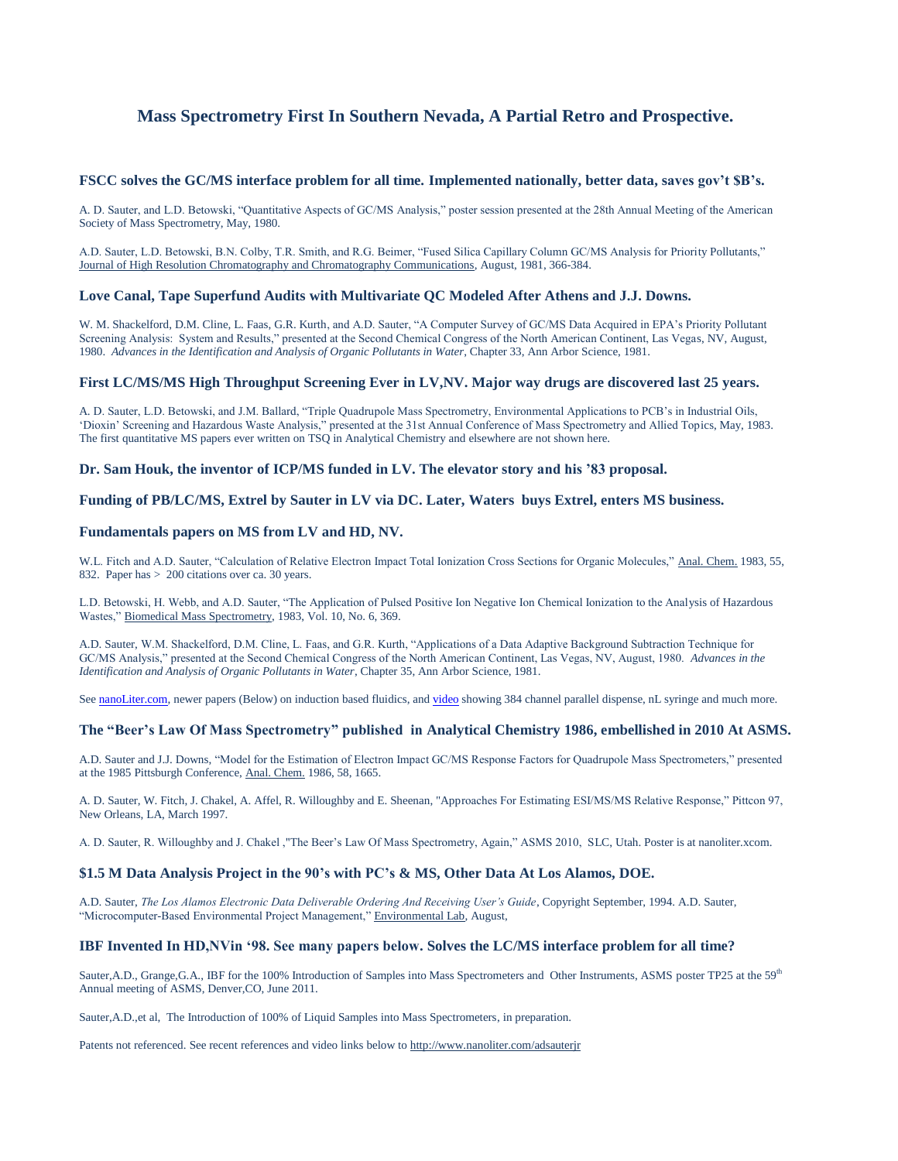# **Mass Spectrometry First In Southern Nevada, A Partial Retro and Prospective.**

## **FSCC solves the GC/MS interface problem for all time. Implemented nationally, better data, saves gov't \$B's.**

A. D. Sauter, and L.D. Betowski, "Quantitative Aspects of GC/MS Analysis," poster session presented at the 28th Annual Meeting of the American Society of Mass Spectrometry, May, 1980.

A.D. Sauter, L.D. Betowski, B.N. Colby, T.R. Smith, and R.G. Beimer, "Fused Silica Capillary Column GC/MS Analysis for Priority Pollutants," Journal of High Resolution Chromatography and Chromatography Communications, August, 1981, 366-384.

## **Love Canal, Tape Superfund Audits with Multivariate QC Modeled After Athens and J.J. Downs.**

W. M. Shackelford, D.M. Cline, L. Faas, G.R. Kurth, and A.D. Sauter, "A Computer Survey of GC/MS Data Acquired in EPA's Priority Pollutant Screening Analysis: System and Results," presented at the Second Chemical Congress of the North American Continent, Las Vegas, NV, August, 1980. *Advances in the Identification and Analysis of Organic Pollutants in Water*, Chapter 33, Ann Arbor Science, 1981.

## **First LC/MS/MS High Throughput Screening Ever in LV,NV. Major way drugs are discovered last 25 years.**

A. D. Sauter, L.D. Betowski, and J.M. Ballard, "Triple Quadrupole Mass Spectrometry, Environmental Applications to PCB's in Industrial Oils, 'Dioxin' Screening and Hazardous Waste Analysis," presented at the 31st Annual Conference of Mass Spectrometry and Allied Topics, May, 1983. The first quantitative MS papers ever written on TSQ in Analytical Chemistry and elsewhere are not shown here.

## **Dr. Sam Houk, the inventor of ICP/MS funded in LV. The elevator story and his '83 proposal.**

# **Funding of PB/LC/MS, Extrel by Sauter in LV via DC. Later, Waters buys Extrel, enters MS business.**

## **Fundamentals papers on MS from LV and HD, NV.**

W.L. Fitch and A.D. Sauter, "Calculation of Relative Electron Impact Total Ionization Cross Sections for Organic Molecules," Anal. Chem. 1983, 55, 832. Paper has > 200 citations over ca. 30 years.

L.D. Betowski, H. Webb, and A.D. Sauter, "The Application of Pulsed Positive Ion Negative Ion Chemical Ionization to the Analysis of Hazardous Wastes," Biomedical Mass Spectrometry, 1983, Vol. 10, No. 6, 369.

A.D. Sauter, W.M. Shackelford, D.M. Cline, L. Faas, and G.R. Kurth, "Applications of a Data Adaptive Background Subtraction Technique for GC/MS Analysis," presented at the Second Chemical Congress of the North American Continent, Las Vegas, NV, August, 1980. *Advances in the Identification and Analysis of Organic Pollutants in Water*, Chapter 35, Ann Arbor Science, 1981.

Se[e nanoLiter.com,](http://www.nanoliter.com/) newer papers (Below) on induction based fluidics, an[d video](http://www.youtube.com/adsauterjr) showing 384 channel parallel dispense, nL syringe and much more.

## **The "Beer's Law Of Mass Spectrometry" published in Analytical Chemistry 1986, embellished in 2010 At ASMS.**

A.D. Sauter and J.J. Downs, "Model for the Estimation of Electron Impact GC/MS Response Factors for Quadrupole Mass Spectrometers," presented at the 1985 Pittsburgh Conference, Anal. Chem. 1986, 58, 1665.

A. D. Sauter, W. Fitch, J. Chakel, A. Affel, R. Willoughby and E. Sheenan, "Approaches For Estimating ESI/MS/MS Relative Response," Pittcon 97, New Orleans, LA, March 1997.

A. D. Sauter, R. Willoughby and J. Chakel ,"The Beer's Law Of Mass Spectrometry, Again," ASMS 2010, SLC, Utah. Poster is at nanoliter.xcom.

#### **\$1.5 M Data Analysis Project in the 90's with PC's & MS, Other Data At Los Alamos, DOE.**

A.D. Sauter, *The Los Alamos Electronic Data Deliverable Ordering And Receiving User's Guide*, Copyright September, 1994. A.D. Sauter, "Microcomputer-Based Environmental Project Management," Environmental Lab, August,

#### **IBF Invented In HD,NVin '98. See many papers below. Solves the LC/MS interface problem for all time?**

Sauter,A.D., Grange,G.A., IBF for the 100% Introduction of Samples into Mass Spectrometers and Other Instruments, ASMS poster TP25 at the 59<sup>th</sup> Annual meeting of ASMS, Denver,CO, June 2011.

Sauter,A.D.,et al, The Introduction of 100% of Liquid Samples into Mass Spectrometers, in preparation.

Patents not referenced. See recent references and video links below t[o http://www.nanoliter.com/adsauterjr](http://www.nanoliter.com/adsauterjr)